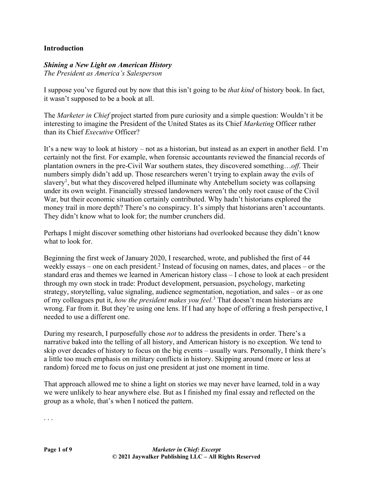## **Introduction**

## *Shining a New Light on American History*

*The President as America's Salesperson*

I suppose you've figured out by now that this isn't going to be *that kind* of history book. In fact, it wasn't supposed to be a book at all.

The *Marketer in Chief* project started from pure curiosity and a simple question: Wouldn't it be interesting to imagine the President of the United States as its Chief *Marketing* Officer rather than its Chief *Executive* Officer?

It's a new way to look at history – not as a historian, but instead as an expert in another field. I'm certainly not the first. For example, when forensic accountants reviewed the financial records of plantation owners in the pre-Civil War southern states, they discovered something…*off*. Their numbers simply didn't add up. Those researchers weren't trying to explain away the evils of slavery<sup>1</sup>, but what they discovered helped illuminate why Antebellum society was collapsing under its own weight. Financially stressed landowners weren't the only root cause of the Civil War, but their economic situation certainly contributed. Why hadn't historians explored the money trail in more depth? There's no conspiracy. It's simply that historians aren't accountants. They didn't know what to look for; the number crunchers did.

Perhaps I might discover something other historians had overlooked because they didn't know what to look for.

Beginning the first week of January 2020, I researched, wrote, and published the first of 44 weekly essays – one on each president.<sup>2</sup> Instead of focusing on names, dates, and places – or the standard eras and themes we learned in American history class – I chose to look at each president through my own stock in trade: Product development, persuasion, psychology, marketing strategy, storytelling, value signaling, audience segmentation, negotiation, and sales – or as one of my colleagues put it, *how the president makes you feel.*<sup>3</sup> That doesn't mean historians are wrong. Far from it. But they're using one lens. If I had any hope of offering a fresh perspective, I needed to use a different one.

During my research, I purposefully chose *not* to address the presidents in order. There's a narrative baked into the telling of all history, and American history is no exception. We tend to skip over decades of history to focus on the big events – usually wars. Personally, I think there's a little too much emphasis on military conflicts in history. Skipping around (more or less at random) forced me to focus on just one president at just one moment in time.

That approach allowed me to shine a light on stories we may never have learned, told in a way we were unlikely to hear anywhere else. But as I finished my final essay and reflected on the group as a whole, that's when I noticed the pattern.

. . .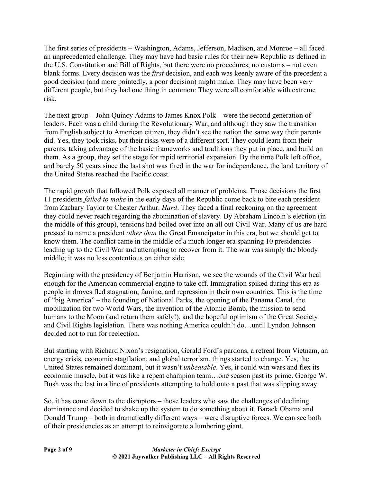The first series of presidents – Washington, Adams, Jefferson, Madison, and Monroe – all faced an unprecedented challenge. They may have had basic rules for their new Republic as defined in the U.S. Constitution and Bill of Rights, but there were no procedures, no customs – not even blank forms. Every decision was the *first* decision, and each was keenly aware of the precedent a good decision (and more pointedly, a poor decision) might make. They may have been very different people, but they had one thing in common: They were all comfortable with extreme risk.

The next group – John Quincy Adams to James Knox Polk – were the second generation of leaders. Each was a child during the Revolutionary War, and although they saw the transition from English subject to American citizen, they didn't see the nation the same way their parents did. Yes, they took risks, but their risks were of a different sort. They could learn from their parents, taking advantage of the basic frameworks and traditions they put in place, and build on them. As a group, they set the stage for rapid territorial expansion. By the time Polk left office, and barely 50 years since the last shot was fired in the war for independence, the land territory of the United States reached the Pacific coast.

The rapid growth that followed Polk exposed all manner of problems. Those decisions the first 11 presidents *failed to make* in the early days of the Republic come back to bite each president from Zachary Taylor to Chester Arthur. *Hard*. They faced a final reckoning on the agreement they could never reach regarding the abomination of slavery. By Abraham Lincoln's election (in the middle of this group), tensions had boiled over into an all out Civil War. Many of us are hard pressed to name a president *other than* the Great Emancipator in this era, but we should get to know them. The conflict came in the middle of a much longer era spanning 10 presidencies – leading up to the Civil War and attempting to recover from it. The war was simply the bloody middle; it was no less contentious on either side.

Beginning with the presidency of Benjamin Harrison, we see the wounds of the Civil War heal enough for the American commercial engine to take off. Immigration spiked during this era as people in droves fled stagnation, famine, and repression in their own countries. This is the time of "big America" – the founding of National Parks, the opening of the Panama Canal, the mobilization for two World Wars, the invention of the Atomic Bomb, the mission to send humans to the Moon (and return them safely!), and the hopeful optimism of the Great Society and Civil Rights legislation. There was nothing America couldn't do…until Lyndon Johnson decided not to run for reelection.

But starting with Richard Nixon's resignation, Gerald Ford's pardons, a retreat from Vietnam, an energy crisis, economic stagflation, and global terrorism, things started to change. Yes, the United States remained dominant, but it wasn't *unbeatable*. Yes, it could win wars and flex its economic muscle, but it was like a repeat champion team…one season past its prime. George W. Bush was the last in a line of presidents attempting to hold onto a past that was slipping away.

So, it has come down to the disruptors – those leaders who saw the challenges of declining dominance and decided to shake up the system to do something about it. Barack Obama and Donald Trump – both in dramatically different ways – were disruptive forces. We can see both of their presidencies as an attempt to reinvigorate a lumbering giant.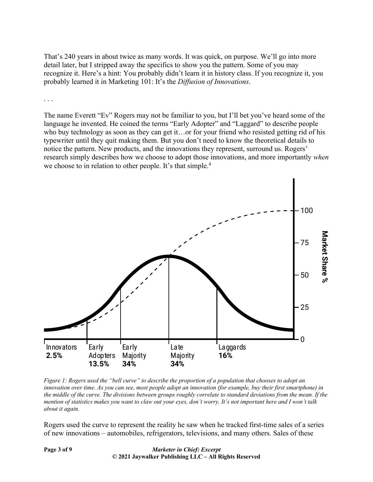That's 240 years in about twice as many words. It was quick, on purpose. We'll go into more detail later, but I stripped away the specifics to show you the pattern. Some of you may recognize it. Here's a hint: You probably didn't learn it in history class. If you recognize it, you probably learned it in Marketing 101: It's the *Diffusion of Innovations*.

. . .

The name Everett "Ev" Rogers may not be familiar to you, but I'll bet you've heard some of the language he invented. He coined the terms "Early Adopter" and "Laggard" to describe people who buy technology as soon as they can get it…or for your friend who resisted getting rid of his typewriter until they quit making them. But you don't need to know the theoretical details to notice the pattern. New products, and the innovations they represent, surround us. Rogers' research simply describes how we choose to adopt those innovations, and more importantly *when* we choose to in relation to other people. It's that simple.<sup>4</sup>



*Figure 1: Rogers used the "bell curve" to describe the proportion of a population that chooses to adopt an innovation over time. As you can see, most people adopt an innovation (for example, buy their first smartphone) in the middle of the curve. The divisions between groups roughly correlate to standard deviations from the mean. If the mention of statistics makes you want to claw out your eyes, don't worry. It's not important here and I won't talk about it again.*

Rogers used the curve to represent the reality he saw when he tracked first-time sales of a series of new innovations – automobiles, refrigerators, televisions, and many others. Sales of these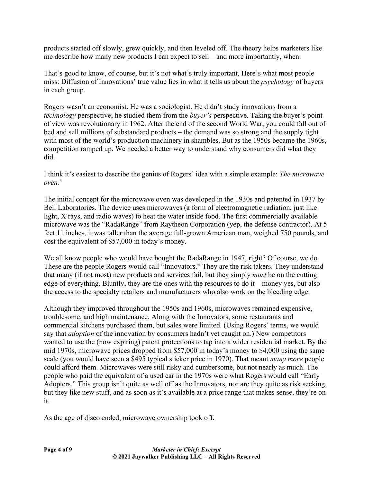products started off slowly, grew quickly, and then leveled off. The theory helps marketers like me describe how many new products I can expect to sell – and more importantly, when.

That's good to know, of course, but it's not what's truly important. Here's what most people miss: Diffusion of Innovations' true value lies in what it tells us about the *psychology* of buyers in each group.

Rogers wasn't an economist. He was a sociologist. He didn't study innovations from a *technology* perspective; he studied them from the *buyer's* perspective. Taking the buyer's point of view was revolutionary in 1962. After the end of the second World War, you could fall out of bed and sell millions of substandard products – the demand was so strong and the supply tight with most of the world's production machinery in shambles. But as the 1950s became the 1960s, competition ramped up. We needed a better way to understand why consumers did what they did.

I think it's easiest to describe the genius of Rogers' idea with a simple example: *The microwave*   $\alpha$ *ven*<sup>5</sup>

The initial concept for the microwave oven was developed in the 1930s and patented in 1937 by Bell Laboratories. The device uses microwaves (a form of electromagnetic radiation, just like light, X rays, and radio waves) to heat the water inside food. The first commercially available microwave was the "RadaRange" from Raytheon Corporation (yep, the defense contractor). At 5 feet 11 inches, it was taller than the average full-grown American man, weighed 750 pounds, and cost the equivalent of \$57,000 in today's money.

We all know people who would have bought the RadaRange in 1947, right? Of course, we do. These are the people Rogers would call "Innovators." They are the risk takers. They understand that many (if not most) new products and services fail, but they simply *must* be on the cutting edge of everything. Bluntly, they are the ones with the resources to do it – money yes, but also the access to the specialty retailers and manufacturers who also work on the bleeding edge.

Although they improved throughout the 1950s and 1960s, microwaves remained expensive, troublesome, and high maintenance. Along with the Innovators, some restaurants and commercial kitchens purchased them, but sales were limited. (Using Rogers' terms, we would say that *adoption* of the innovation by consumers hadn't yet caught on.) New competitors wanted to use the (now expiring) patent protections to tap into a wider residential market. By the mid 1970s, microwave prices dropped from \$57,000 in today's money to \$4,000 using the same scale (you would have seen a \$495 typical sticker price in 1970). That meant *many more* people could afford them. Microwaves were still risky and cumbersome, but not nearly as much. The people who paid the equivalent of a used car in the 1970s were what Rogers would call "Early Adopters." This group isn't quite as well off as the Innovators, nor are they quite as risk seeking, but they like new stuff, and as soon as it's available at a price range that makes sense, they're on it.

As the age of disco ended, microwave ownership took off.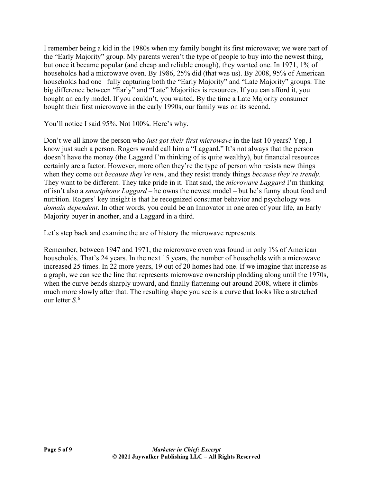I remember being a kid in the 1980s when my family bought its first microwave; we were part of the "Early Majority" group. My parents weren't the type of people to buy into the newest thing, but once it became popular (and cheap and reliable enough), they wanted one. In 1971, 1% of households had a microwave oven. By 1986, 25% did (that was us). By 2008, 95% of American households had one –fully capturing both the "Early Majority" and "Late Majority" groups. The big difference between "Early" and "Late" Majorities is resources. If you can afford it, you bought an early model. If you couldn't, you waited. By the time a Late Majority consumer bought their first microwave in the early 1990s, our family was on its second.

You'll notice I said 95%. Not 100%. Here's why.

Don't we all know the person who *just got their first microwave* in the last 10 years? Yep, I know just such a person. Rogers would call him a "Laggard." It's not always that the person doesn't have the money (the Laggard I'm thinking of is quite wealthy), but financial resources certainly are a factor. However, more often they're the type of person who resists new things when they come out *because they're new*, and they resist trendy things *because they're trendy*. They want to be different. They take pride in it. That said, the *microwave Laggard* I'm thinking of isn't also a *smartphone Laggard* – he owns the newest model – but he's funny about food and nutrition. Rogers' key insight is that he recognized consumer behavior and psychology was *domain dependent*. In other words, you could be an Innovator in one area of your life, an Early Majority buyer in another, and a Laggard in a third.

Let's step back and examine the arc of history the microwave represents.

Remember, between 1947 and 1971, the microwave oven was found in only 1% of American households. That's 24 years. In the next 15 years, the number of households with a microwave increased 25 times. In 22 more years, 19 out of 20 homes had one. If we imagine that increase as a graph, we can see the line that represents microwave ownership plodding along until the 1970s, when the curve bends sharply upward, and finally flattening out around 2008, where it climbs much more slowly after that. The resulting shape you see is a curve that looks like a stretched our letter *S*. 6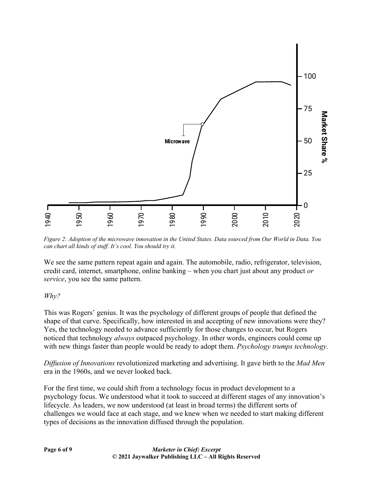

*Figure 2: Adoption of the microwave innovation in the United States. Data sourced from Our World in Data. You can chart all kinds of stuff. It's cool. You should try it.*

We see the same pattern repeat again and again. The automobile, radio, refrigerator, television, credit card, internet, smartphone, online banking – when you chart just about any product *or service*, you see the same pattern.

## *Why?*

This was Rogers' genius. It was the psychology of different groups of people that defined the shape of that curve. Specifically, how interested in and accepting of new innovations were they? Yes, the technology needed to advance sufficiently for those changes to occur, but Rogers noticed that technology *always* outpaced psychology. In other words, engineers could come up with new things faster than people would be ready to adopt them. *Psychology trumps technology.* Examples of decisions and the United States. Data source<br>
Figure 2: Adoption of the microwave innovation in the United States. Data source<br>
can chart all kinds of stuff. It's cool. You should try it.<br>
We see the same patt

*Diffusion of Innovations* revolutionized marketing and advertising. It gave birth to the *Mad Men* era in the 1960s, and we never looked back.

For the first time, we could shift from a technology focus in product development to a psychology focus. We understood what it took to succeed at different stages of any innovation's lifecycle. As leaders, we now understood (at least in broad terms) the different sorts of challenges we would face at each stage, and we knew when we needed to start making different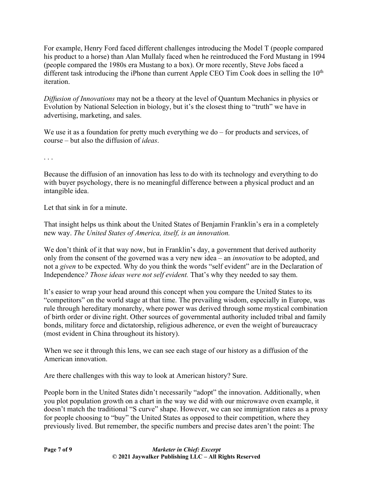For example, Henry Ford faced different challenges introducing the Model T (people compared his product to a horse) than Alan Mullaly faced when he reintroduced the Ford Mustang in 1994 (people compared the 1980s era Mustang to a box). Or more recently, Steve Jobs faced a different task introducing the iPhone than current Apple CEO Tim Cook does in selling the  $10<sup>th</sup>$ iteration.

*Diffusion of Innovations* may not be a theory at the level of Quantum Mechanics in physics or Evolution by National Selection in biology, but it's the closest thing to "truth" we have in advertising, marketing, and sales.

We use it as a foundation for pretty much everything we do – for products and services, of course – but also the diffusion of *ideas*.

. . .

Because the diffusion of an innovation has less to do with its technology and everything to do with buyer psychology, there is no meaningful difference between a physical product and an intangible idea.

Let that sink in for a minute.

That insight helps us think about the United States of Benjamin Franklin's era in a completely new way. *The United States of America, itself, is an innovation.*

We don't think of it that way now, but in Franklin's day, a government that derived authority only from the consent of the governed was a very new idea – an *innovation* to be adopted, and not a *given* to be expected. Why do you think the words "self evident" are in the Declaration of Independence*? Those ideas were not self evident.* That's why they needed to say them.

It's easier to wrap your head around this concept when you compare the United States to its "competitors" on the world stage at that time. The prevailing wisdom, especially in Europe, was rule through hereditary monarchy, where power was derived through some mystical combination of birth order or divine right. Other sources of governmental authority included tribal and family bonds, military force and dictatorship, religious adherence, or even the weight of bureaucracy (most evident in China throughout its history).

When we see it through this lens, we can see each stage of our history as a diffusion of the American innovation.

Are there challenges with this way to look at American history? Sure.

People born in the United States didn't necessarily "adopt" the innovation. Additionally, when you plot population growth on a chart in the way we did with our microwave oven example, it doesn't match the traditional "S curve" shape. However, we can see immigration rates as a proxy for people choosing to "buy" the United States as opposed to their competition, where they previously lived. But remember, the specific numbers and precise dates aren't the point: The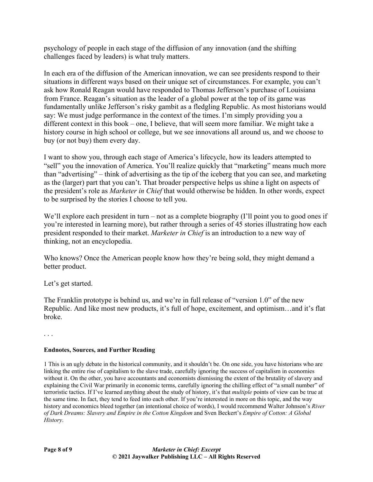psychology of people in each stage of the diffusion of any innovation (and the shifting challenges faced by leaders) is what truly matters.

In each era of the diffusion of the American innovation, we can see presidents respond to their situations in different ways based on their unique set of circumstances. For example, you can't ask how Ronald Reagan would have responded to Thomas Jefferson's purchase of Louisiana from France. Reagan's situation as the leader of a global power at the top of its game was fundamentally unlike Jefferson's risky gambit as a fledgling Republic. As most historians would say: We must judge performance in the context of the times. I'm simply providing you a different context in this book – one, I believe, that will seem more familiar. We might take a history course in high school or college, but we see innovations all around us, and we choose to buy (or not buy) them every day.

I want to show you, through each stage of America's lifecycle, how its leaders attempted to "sell" you the innovation of America. You'll realize quickly that "marketing" means much more than "advertising" – think of advertising as the tip of the iceberg that you can see, and marketing as the (larger) part that you can't. That broader perspective helps us shine a light on aspects of the president's role as *Marketer in Chief* that would otherwise be hidden. In other words, expect to be surprised by the stories I choose to tell you.

We'll explore each president in turn – not as a complete biography (I'll point you to good ones if you're interested in learning more), but rather through a series of 45 stories illustrating how each president responded to their market. *Marketer in Chief* is an introduction to a new way of thinking, not an encyclopedia.

Who knows? Once the American people know how they're being sold, they might demand a better product.

Let's get started.

The Franklin prototype is behind us, and we're in full release of "version 1.0" of the new Republic. And like most new products, it's full of hope, excitement, and optimism…and it's flat broke.

. . .

## **Endnotes, Sources, and Further Reading**

1 This is an ugly debate in the historical community, and it shouldn't be. On one side, you have historians who are linking the entire rise of capitalism to the slave trade, carefully ignoring the success of capitalism in economies without it. On the other, you have accountants and economists dismissing the extent of the brutality of slavery and explaining the Civil War primarily in economic terms, carefully ignoring the chilling effect of "a small number" of terroristic tactics. If I've learned anything about the study of history, it's that *multiple* points of view can be true at the same time. In fact, they tend to feed into each other. If you're interested in more on this topic, and the way history and economics bleed together (an intentional choice of words), I would recommend Walter Johnson's *River of Dark Dreams: Slavery and Empire in the Cotton Kingdom* and Sven Beckert's *Empire of Cotton: A Global History*.